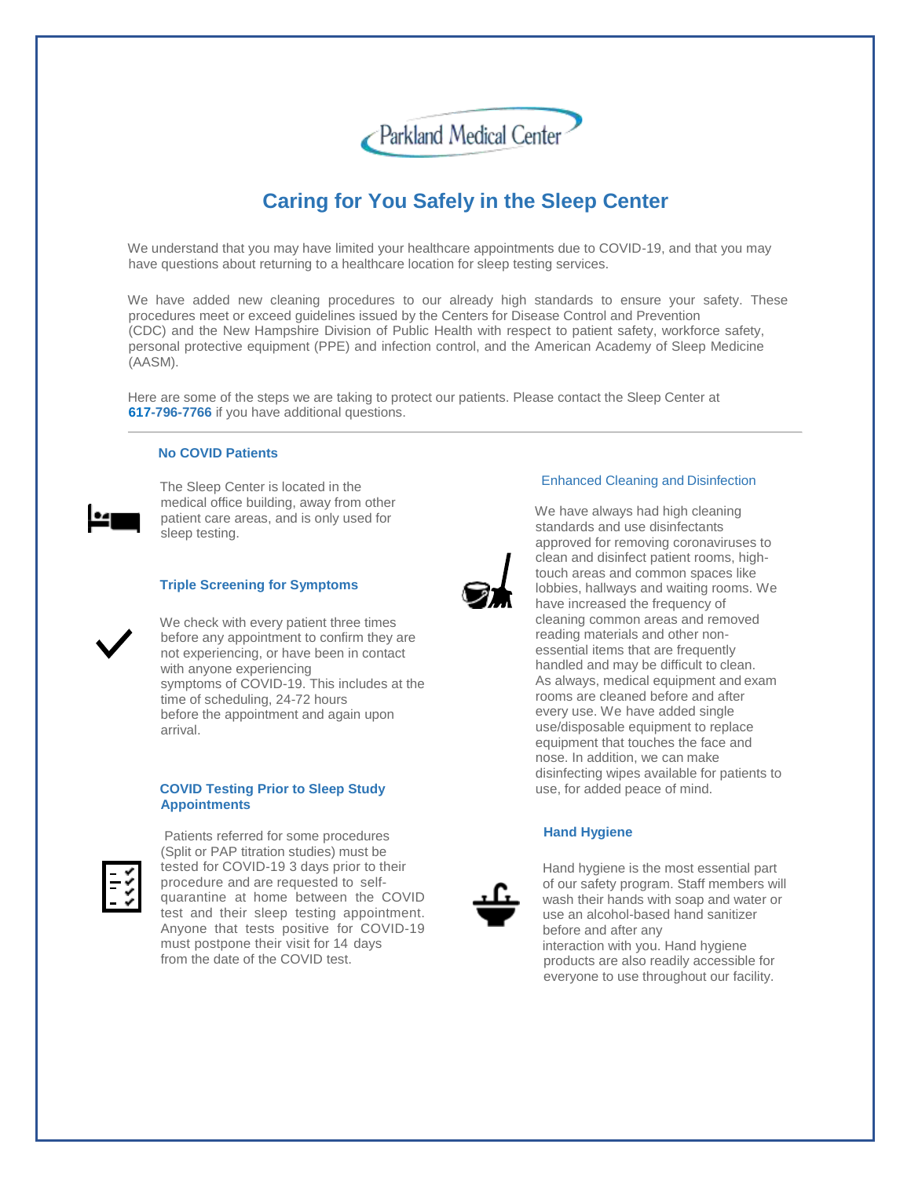

# **Caring for You Safely in the Sleep Center**

We understand that you may have limited your healthcare appointments due to COVID-19, and that you may have questions about returning to a healthcare location for sleep testing services.

We have added new cleaning procedures to our already high standards to ensure your safety. These procedures meet or exceed guidelines issued by the Centers for Disease Control and Prevention (CDC) and the New Hampshire Division of Public Health with respect to patient safety, workforce safety, personal protective equipment (PPE) and infection control, and the American Academy of Sleep Medicine (AASM).

Here are some of the steps we are taking to protect our patients. Please contact the Sleep Center at **617-796-7766** if you have additional questions.

# **No COVID Patients**

The Sleep Center is located in the medical office building, away from other patient care areas, and is only used for sleep testing.

### **Triple Screening for Symptoms**

We check with every patient three times before any appointment to confirm they are not experiencing, or have been in contact with anyone experiencing symptoms of COVID-19. This includes at the time of scheduling, 24-72 hours before the appointment and again upon arrival.

### **COVID Testing Prior to Sleep Study Appointments**



Patients referred for some procedures (Split or PAP titration studies) must be tested for COVID-19 3 days prior to their procedure and are requested to selfquarantine at home between the COVID test and their sleep testing appointment. Anyone that tests positive for COVID-19 must postpone their visit for 14 days from the date of the COVID test.

### Enhanced Cleaning and Disinfection

We have always had high cleaning

standards and use disinfectants approved for removing coronaviruses to clean and disinfect patient rooms, hightouch areas and common spaces like lobbies, hallways and waiting rooms. We have increased the frequency of cleaning common areas and removed reading materials and other nonessential items that are frequently handled and may be difficult to clean. As always, medical equipment and exam rooms are cleaned before and after every use. We have added single use/disposable equipment to replace equipment that touches the face and nose. In addition, we can make disinfecting wipes available for patients to use, for added peace of mind.

### **Hand Hygiene**



Hand hygiene is the most essential part of our safety program. Staff members will wash their hands with soap and water or use an alcohol-based hand sanitizer before and after any interaction with you. Hand hygiene products are also readily accessible for everyone to use throughout our facility.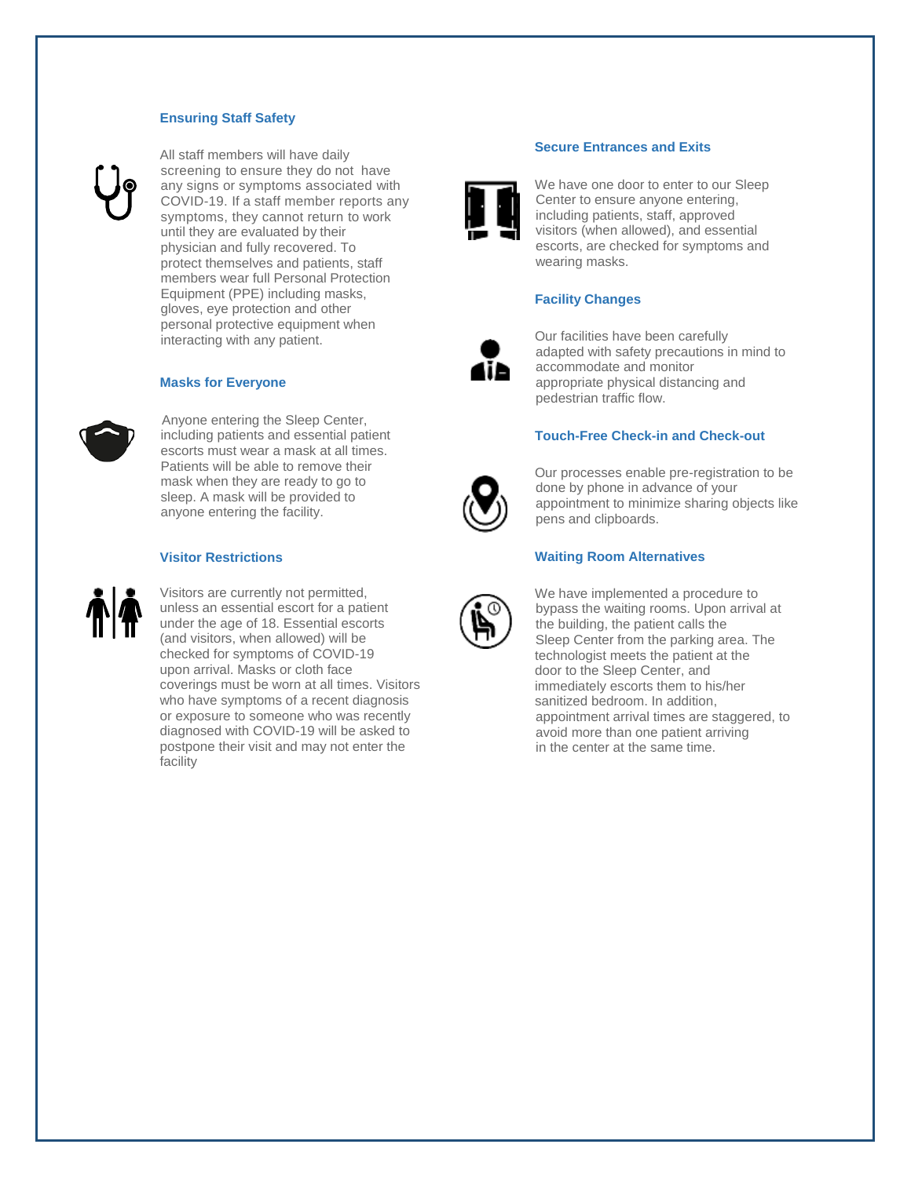# **Ensuring Staff Safety**

All staff members will have daily screening to ensure they do not have any signs or symptoms associated with COVID-19. If a staff member reports any symptoms, they cannot return to work until they are evaluated by their physician and fully recovered. To protect themselves and patients, staff members wear full Personal Protection Equipment (PPE) including masks, gloves, eye protection and other personal protective equipment when interacting with any patient.

#### **Masks for Everyone**



Anyone entering the Sleep Center, including patients and essential patient escorts must wear a mask at all times. Patients will be able to remove their mask when they are ready to go to sleep. A mask will be provided to anyone entering the facility.

# **Visitor Restrictions**



Visitors are currently not permitted, unless an essential escort for a patient under the age of 18. Essential escorts (and visitors, when allowed) will be checked for symptoms of COVID-19 upon arrival. Masks or cloth face coverings must be worn at all times. Visitors who have symptoms of a recent diagnosis or exposure to someone who was recently diagnosed with COVID-19 will be asked to postpone their visit and may not enter the facility



We have one door to enter to our Sleep Center to ensure anyone entering, including patients, staff, approved visitors (when allowed), and essential escorts, are checked for symptoms and wearing masks.

**Secure Entrances and Exits**

### **Facility Changes**



Our facilities have been carefully adapted with safety precautions in mind to accommodate and monitor appropriate physical distancing and pedestrian traffic flow.

#### **Touch-Free Check-in and Check-out**



Our processes enable pre-registration to be done by phone in advance of your appointment to minimize sharing objects like pens and clipboards.

# **Waiting Room Alternatives**



We have implemented a procedure to bypass the waiting rooms. Upon arrival at the building, the patient calls the Sleep Center from the parking area. The technologist meets the patient at the door to the Sleep Center, and immediately escorts them to his/her sanitized bedroom. In addition, appointment arrival times are staggered, to avoid more than one patient arriving in the center at the same time.